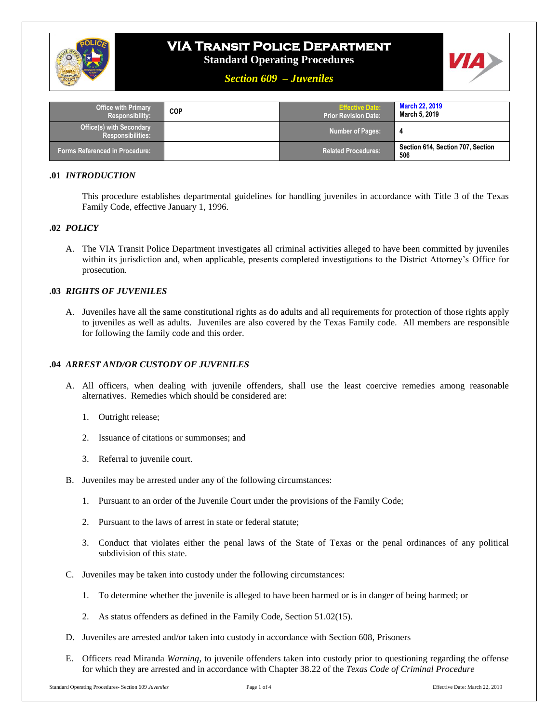

# **VIA Transit Police Department**

**Standard Operating Procedures**



# *Section 609 – Juveniles*

| <b>Office with Primary</b><br>Responsibility:        | <b>COP</b> | <b>Effective Date:</b><br>l Prior Revision Date: ' | <b>March 22, 2019</b><br>March 5, 2019   |
|------------------------------------------------------|------------|----------------------------------------------------|------------------------------------------|
| <b>Office(s) with Secondary</b><br>Responsibilities: |            | <b>Number of Pages:</b>                            |                                          |
| Forms Referenced in Procedure: '                     |            | <b>Related Procedures:</b>                         | Section 614, Section 707, Section<br>506 |

# **.01** *INTRODUCTION*

This procedure establishes departmental guidelines for handling juveniles in accordance with Title 3 of the Texas Family Code, effective January 1, 1996.

# **.02** *POLICY*

A. The VIA Transit Police Department investigates all criminal activities alleged to have been committed by juveniles within its jurisdiction and, when applicable, presents completed investigations to the District Attorney's Office for prosecution.

# **.03** *RIGHTS OF JUVENILES*

A. Juveniles have all the same constitutional rights as do adults and all requirements for protection of those rights apply to juveniles as well as adults. Juveniles are also covered by the Texas Family code. All members are responsible for following the family code and this order.

# **.04** *ARREST AND/OR CUSTODY OF JUVENILES*

- A. All officers, when dealing with juvenile offenders, shall use the least coercive remedies among reasonable alternatives. Remedies which should be considered are:
	- 1. Outright release;
	- 2. Issuance of citations or summonses; and
	- 3. Referral to juvenile court.
- B. Juveniles may be arrested under any of the following circumstances:
	- 1. Pursuant to an order of the Juvenile Court under the provisions of the Family Code;
	- 2. Pursuant to the laws of arrest in state or federal statute;
	- 3. Conduct that violates either the penal laws of the State of Texas or the penal ordinances of any political subdivision of this state.
- C. Juveniles may be taken into custody under the following circumstances:
	- 1. To determine whether the juvenile is alleged to have been harmed or is in danger of being harmed; or
	- 2. As status offenders as defined in the Family Code, Section 51.02(15).
- D. Juveniles are arrested and/or taken into custody in accordance with Section 608, Prisoners
- E. Officers read Miranda *Warning*, to juvenile offenders taken into custody prior to questioning regarding the offense for which they are arrested and in accordance with Chapter 38.22 of the *Texas Code of Criminal Procedure*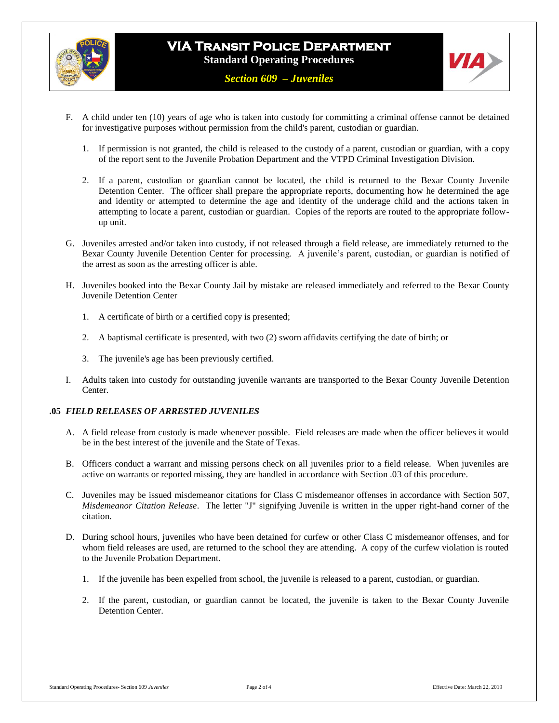



- F. A child under ten (10) years of age who is taken into custody for committing a criminal offense cannot be detained for investigative purposes without permission from the child's parent, custodian or guardian.
	- 1. If permission is not granted, the child is released to the custody of a parent, custodian or guardian, with a copy of the report sent to the Juvenile Probation Department and the VTPD Criminal Investigation Division.
	- 2. If a parent, custodian or guardian cannot be located, the child is returned to the Bexar County Juvenile Detention Center. The officer shall prepare the appropriate reports, documenting how he determined the age and identity or attempted to determine the age and identity of the underage child and the actions taken in attempting to locate a parent, custodian or guardian. Copies of the reports are routed to the appropriate followup unit.
- G. Juveniles arrested and/or taken into custody, if not released through a field release, are immediately returned to the Bexar County Juvenile Detention Center for processing. A juvenile's parent, custodian, or guardian is notified of the arrest as soon as the arresting officer is able.
- H. Juveniles booked into the Bexar County Jail by mistake are released immediately and referred to the Bexar County Juvenile Detention Center
	- 1. A certificate of birth or a certified copy is presented;
	- 2. A baptismal certificate is presented, with two (2) sworn affidavits certifying the date of birth; or
	- 3. The juvenile's age has been previously certified.
- I. Adults taken into custody for outstanding juvenile warrants are transported to the Bexar County Juvenile Detention Center.

#### **.05** *FIELD RELEASES OF ARRESTED JUVENILES*

- A. A field release from custody is made whenever possible. Field releases are made when the officer believes it would be in the best interest of the juvenile and the State of Texas.
- B. Officers conduct a warrant and missing persons check on all juveniles prior to a field release. When juveniles are active on warrants or reported missing, they are handled in accordance with Section .03 of this procedure.
- C. Juveniles may be issued misdemeanor citations for Class C misdemeanor offenses in accordance with Section 507, *Misdemeanor Citation Release*. The letter "J" signifying Juvenile is written in the upper right-hand corner of the citation.
- D. During school hours, juveniles who have been detained for curfew or other Class C misdemeanor offenses, and for whom field releases are used, are returned to the school they are attending. A copy of the curfew violation is routed to the Juvenile Probation Department.
	- 1. If the juvenile has been expelled from school, the juvenile is released to a parent, custodian, or guardian.
	- 2. If the parent, custodian, or guardian cannot be located, the juvenile is taken to the Bexar County Juvenile Detention Center.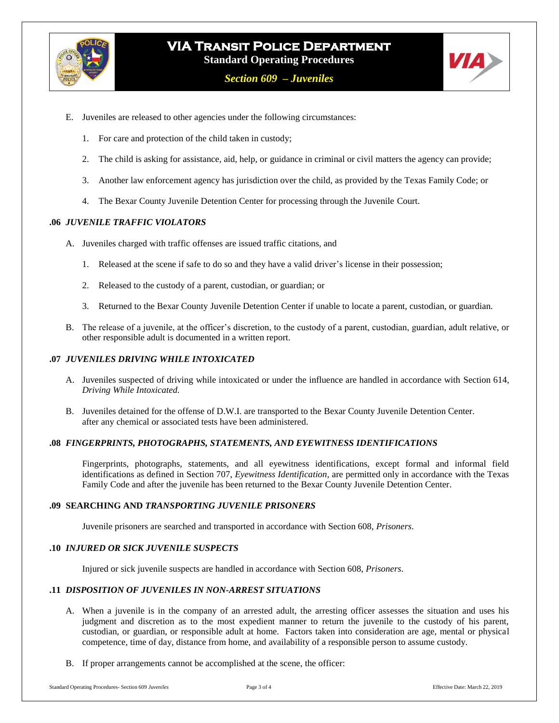



- E. Juveniles are released to other agencies under the following circumstances:
	- 1. For care and protection of the child taken in custody;
	- 2. The child is asking for assistance, aid, help, or guidance in criminal or civil matters the agency can provide;
	- 3. Another law enforcement agency has jurisdiction over the child, as provided by the Texas Family Code; or
	- 4. The Bexar County Juvenile Detention Center for processing through the Juvenile Court.

### **.06** *JUVENILE TRAFFIC VIOLATORS*

- A. Juveniles charged with traffic offenses are issued traffic citations, and
	- 1. Released at the scene if safe to do so and they have a valid driver's license in their possession;
	- 2. Released to the custody of a parent, custodian, or guardian; or
	- 3. Returned to the Bexar County Juvenile Detention Center if unable to locate a parent, custodian, or guardian.
- B. The release of a juvenile, at the officer's discretion, to the custody of a parent, custodian, guardian, adult relative, or other responsible adult is documented in a written report.

## **.07** *JUVENILES DRIVING WHILE INTOXICATED*

- A. Juveniles suspected of driving while intoxicated or under the influence are handled in accordance with Section 614, *Driving While Intoxicated.*
- B. Juveniles detained for the offense of D.W.I. are transported to the Bexar County Juvenile Detention Center. after any chemical or associated tests have been administered.

#### **.08** *FINGERPRINTS, PHOTOGRAPHS, STATEMENTS, AND EYEWITNESS IDENTIFICATIONS*

Fingerprints, photographs, statements, and all eyewitness identifications, except formal and informal field identifications as defined in Section 707, *Eyewitness Identification*, are permitted only in accordance with the Texas Family Code and after the juvenile has been returned to the Bexar County Juvenile Detention Center.

#### **.09 SEARCHING AND** *TRANSPORTING JUVENILE PRISONERS*

Juvenile prisoners are searched and transported in accordance with Section 608, *Prisoners*.

# **.10** *INJURED OR SICK JUVENILE SUSPECTS*

Injured or sick juvenile suspects are handled in accordance with Section 608, *Prisoners*.

#### **.11** *DISPOSITION OF JUVENILES IN NON-ARREST SITUATIONS*

- A. When a juvenile is in the company of an arrested adult, the arresting officer assesses the situation and uses his judgment and discretion as to the most expedient manner to return the juvenile to the custody of his parent, custodian, or guardian, or responsible adult at home. Factors taken into consideration are age, mental or physical competence, time of day, distance from home, and availability of a responsible person to assume custody.
- B. If proper arrangements cannot be accomplished at the scene, the officer: